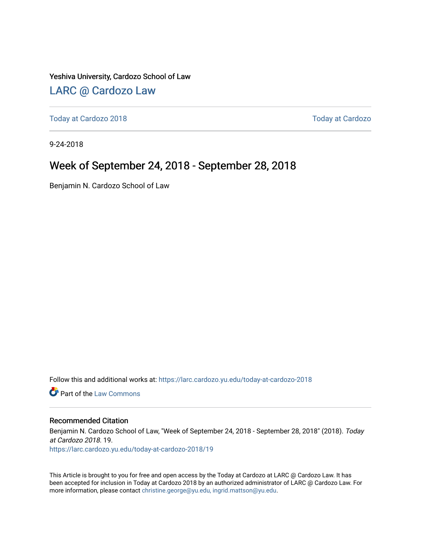Yeshiva University, Cardozo School of Law

### [LARC @ Cardozo Law](https://larc.cardozo.yu.edu/)

[Today at Cardozo 2018](https://larc.cardozo.yu.edu/today-at-cardozo-2018) [Today at Cardozo](https://larc.cardozo.yu.edu/today-at-cardozo) 

9-24-2018

### Week of September 24, 2018 - September 28, 2018

Benjamin N. Cardozo School of Law

Follow this and additional works at: [https://larc.cardozo.yu.edu/today-at-cardozo-2018](https://larc.cardozo.yu.edu/today-at-cardozo-2018?utm_source=larc.cardozo.yu.edu%2Ftoday-at-cardozo-2018%2F19&utm_medium=PDF&utm_campaign=PDFCoverPages)

**C** Part of the [Law Commons](http://network.bepress.com/hgg/discipline/578?utm_source=larc.cardozo.yu.edu%2Ftoday-at-cardozo-2018%2F19&utm_medium=PDF&utm_campaign=PDFCoverPages)

#### Recommended Citation

Benjamin N. Cardozo School of Law, "Week of September 24, 2018 - September 28, 2018" (2018). Today at Cardozo 2018. 19. [https://larc.cardozo.yu.edu/today-at-cardozo-2018/19](https://larc.cardozo.yu.edu/today-at-cardozo-2018/19?utm_source=larc.cardozo.yu.edu%2Ftoday-at-cardozo-2018%2F19&utm_medium=PDF&utm_campaign=PDFCoverPages) 

This Article is brought to you for free and open access by the Today at Cardozo at LARC @ Cardozo Law. It has been accepted for inclusion in Today at Cardozo 2018 by an authorized administrator of LARC @ Cardozo Law. For more information, please contact [christine.george@yu.edu, ingrid.mattson@yu.edu](mailto:christine.george@yu.edu,%20ingrid.mattson@yu.edu).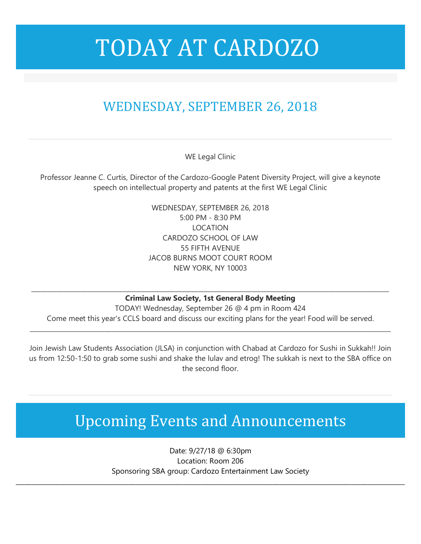## TODAY AT CARDOZO

### WEDNESDAY, SEPTEMBER 26, 2018

WE Legal Clinic

Professor Jeanne C. Curtis, Director of the Cardozo-Google Patent Diversity Project, will give a keynote speech on intellectual property and patents at the first WE Legal Clinic

> WEDNESDAY, SEPTEMBER 26, 2018 5:00 PM - 8:30 PM LOCATION CARDOZO SCHOOL OF LAW 55 FIFTH AVENUE JACOB BURNS MOOT COURT ROOM NEW YORK, NY 10003

**\_\_\_\_\_\_\_\_\_\_\_\_\_\_\_\_\_\_\_\_\_\_\_\_\_\_\_\_\_\_\_\_\_\_\_\_\_\_\_\_\_\_\_\_\_\_\_\_\_\_\_\_\_\_\_\_\_\_\_\_\_\_\_\_\_\_\_\_\_\_\_\_\_\_\_\_\_\_\_\_\_\_\_\_\_\_\_\_\_\_\_\_\_\_\_\_\_\_\_\_\_\_\_\_\_\_\_\_\_\_\_\_\_\_ Criminal Law Society, 1st General Body Meeting**

TODAY! Wednesday, September 26 @ 4 pm in Room 424 Come meet this year's CCLS board and discuss our exciting plans for the year! Food will be served.

**\_\_\_\_\_\_\_\_\_\_\_\_\_\_\_\_\_\_\_\_\_\_\_\_\_\_\_\_\_\_\_\_\_\_\_\_\_\_\_\_\_\_\_\_\_\_\_\_\_\_\_\_\_\_\_\_\_\_\_\_\_\_\_\_\_\_\_\_\_\_\_\_\_\_\_\_\_\_\_\_\_\_\_\_\_\_\_\_\_\_\_\_\_\_\_\_\_\_\_\_\_\_\_\_\_\_\_\_\_\_\_\_\_\_\_**

Join Jewish Law Students Association (JLSA) in conjunction with Chabad at Cardozo for Sushi in Sukkah!! Join us from 12:50-1:50 to grab some sushi and shake the lulav and etrog! The sukkah is next to the SBA office on the second floor.

## Upcoming Events and Announcements

Date: 9/27/18 @ 6:30pm Location: Room 206 Sponsoring SBA group: Cardozo Entertainment Law Society

\_\_\_\_\_\_\_\_\_\_\_\_\_\_\_\_\_\_\_\_\_\_\_\_\_\_\_\_\_\_\_\_\_\_\_\_\_\_\_\_\_\_\_\_\_\_\_\_\_\_\_\_\_\_\_\_\_\_\_\_\_\_\_\_\_\_\_\_\_\_\_\_\_\_\_\_\_\_\_\_\_\_\_\_\_\_\_\_\_\_\_\_\_\_\_\_\_\_\_\_\_\_\_\_\_\_\_\_\_\_\_\_\_\_\_\_\_\_\_\_\_\_\_\_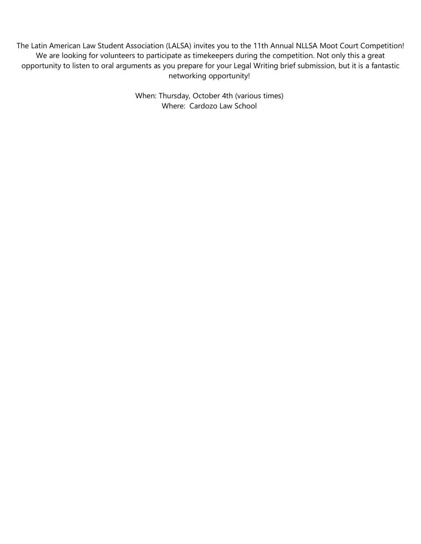The Latin American Law Student Association (LALSA) invites you to the 11th Annual NLLSA Moot Court Competition! We are looking for volunteers to participate as timekeepers during the competition. Not only this a great opportunity to listen to oral arguments as you prepare for your Legal Writing brief submission, but it is a fantastic networking opportunity!

> When: Thursday, October 4th (various times) Where: Cardozo Law School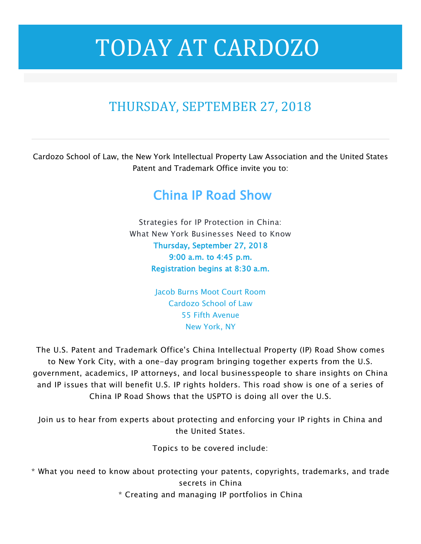# TODAY AT CARDOZO

### THURSDAY, SEPTEMBER 27, 2018

Cardozo School of Law, the New York Intellectual Property Law Association and the United States Patent and Trademark Office invite you to:

### China IP Road Show

Strategies for IP Protection in China: What New York Businesses Need to Know Thursday, September 27, 2018 9:00 a.m. to 4:45 p.m. Registration begins at 8:30 a.m.

> Jacob Burns Moot Court Room Cardozo School of Law 55 Fifth Avenue New York, NY

The U.S. Patent and Trademark Office's China Intellectual Property (IP) Road Show comes to New York City, with a one-day program bringing together experts from the U.S. government, academics, IP attorneys, and local businesspeople to share insights on China and IP issues that will benefit U.S. IP rights holders. This road show is one of a series of China IP Road Shows that the USPTO is doing all over the U.S.

Join us to hear from experts about protecting and enforcing your IP rights in China and the United States.

Topics to be covered include:

\* What you need to know about protecting your patents, copyrights, trademarks, and trade secrets in China

\* Creating and managing IP portfolios in China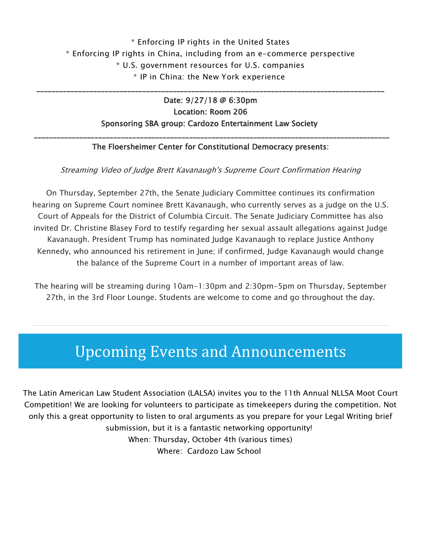### \* Enforcing IP rights in the United States \* Enforcing IP rights in China, including from an e-commerce perspective \* U.S. government resources for U.S. companies \* IP in China: the New York experience

\_\_\_\_\_\_\_\_\_\_\_\_\_\_\_\_\_\_\_\_\_\_\_\_\_\_\_\_\_\_\_\_\_\_\_\_\_\_\_\_\_\_\_\_\_\_\_\_\_\_\_\_\_\_\_\_\_\_\_\_\_\_\_\_\_\_\_\_\_\_\_\_\_\_\_\_\_\_\_\_\_\_\_\_\_\_\_\_\_\_\_\_

#### Date: 9/27/18 @ 6:30pm Location: Room 206 Sponsoring SBA group: Cardozo Entertainment Law Society

#### \_\_\_\_\_\_\_\_\_\_\_\_\_\_\_\_\_\_\_\_\_\_\_\_\_\_\_\_\_\_\_\_\_\_\_\_\_\_\_\_\_\_\_\_\_\_\_\_\_\_\_\_\_\_\_\_\_\_\_\_\_\_\_\_\_\_\_\_\_\_\_\_\_\_\_\_\_\_\_\_\_\_\_\_\_\_\_\_\_\_\_\_\_\_ The Floersheimer Center for Constitutional Democracy presents:

#### Streaming Video of Judge Brett Kavanaugh's Supreme Court Confirmation Hearing

On Thursday, September 27th, the Senate Judiciary Committee continues its confirmation hearing on Supreme Court nominee Brett Kavanaugh, who currently serves as a judge on the U.S. Court of Appeals for the District of Columbia Circuit. The Senate Judiciary Committee has also invited Dr. Christine Blasey Ford to testify regarding her sexual assault allegations against Judge Kavanaugh. President Trump has nominated Judge Kavanaugh to replace Justice Anthony Kennedy, who announced his retirement in June; if confirmed, Judge Kavanaugh would change the balance of the Supreme Court in a number of important areas of law.

The hearing will be streaming during 10am-1:30pm and 2:30pm-5pm on Thursday, September 27th, in the 3rd Floor Lounge. Students are welcome to come and go throughout the day.

### Upcoming Events and Announcements

The Latin American Law Student Association (LALSA) invites you to the 11th Annual NLLSA Moot Court Competition! We are looking for volunteers to participate as timekeepers during the competition. Not only this a great opportunity to listen to oral arguments as you prepare for your Legal Writing brief submission, but it is a fantastic networking opportunity! When: Thursday, October 4th (various times) Where: Cardozo Law School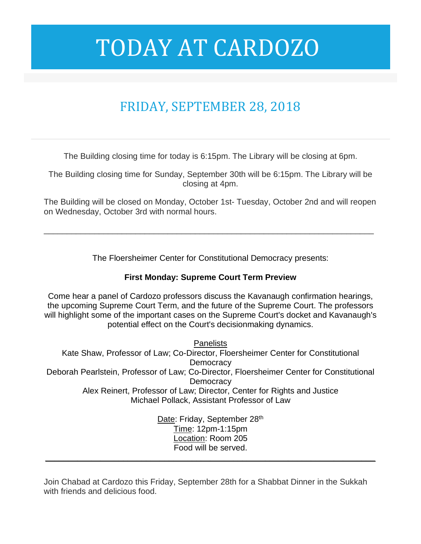# TODAY AT CARDOZO

### FRIDAY, SEPTEMBER 28, 2018

The Building closing time for today is 6:15pm. The Library will be closing at 6pm.

The Building closing time for Sunday, September 30th will be 6:15pm. The Library will be closing at 4pm.

The Building will be closed on Monday, October 1st- Tuesday, October 2nd and will reopen on Wednesday, October 3rd with normal hours.

\_\_\_\_\_\_\_\_\_\_\_\_\_\_\_\_\_\_\_\_\_\_\_\_\_\_\_\_\_\_\_\_\_\_\_\_\_\_\_\_\_\_\_\_\_\_\_\_\_\_\_\_\_\_\_\_\_\_\_\_\_\_\_\_\_\_\_\_\_\_\_\_

The Floersheimer Center for Constitutional Democracy presents:

#### **First Monday: Supreme Court Term Preview**

Come hear a panel of Cardozo professors discuss the Kavanaugh confirmation hearings, the upcoming Supreme Court Term, and the future of the Supreme Court. The professors will highlight some of the important cases on the Supreme Court's docket and Kavanaugh's potential effect on the Court's decisionmaking dynamics.

**Panelists** Kate Shaw, Professor of Law; Co-Director, Floersheimer Center for Constitutional **Democracy** Deborah Pearlstein, Professor of Law; Co-Director, Floersheimer Center for Constitutional **Democracy** Alex Reinert, Professor of Law; Director, Center for Rights and Justice Michael Pollack, Assistant Professor of Law

Date: Friday, September 28th Time: 12pm-1:15pm Location: Room 205 Food will be served.

**\_\_\_\_\_\_\_\_\_\_\_\_\_\_\_\_\_\_\_\_\_\_\_\_\_\_\_\_\_\_\_\_\_\_\_\_\_\_\_\_\_\_\_\_\_\_\_\_\_\_\_\_\_\_\_\_\_\_\_\_\_\_\_\_\_\_\_\_\_\_\_\_**

Join Chabad at Cardozo this Friday, September 28th for a Shabbat Dinner in the Sukkah with friends and delicious food.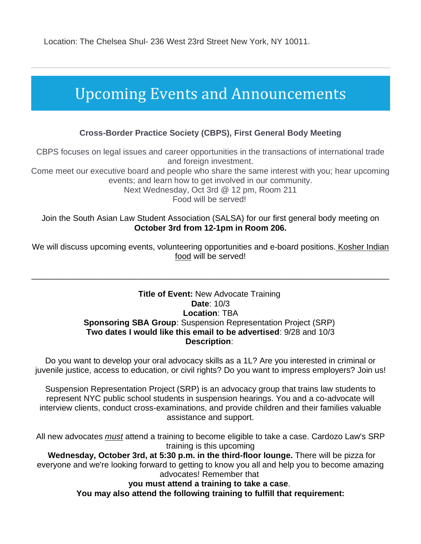Location: The Chelsea Shul- 236 West 23rd Street New York, NY 10011.

### Upcoming Events and Announcements

#### **Cross-Border Practice Society (CBPS), First General Body Meeting**

CBPS focuses on legal issues and career opportunities in the transactions of international trade and foreign investment.

Come meet our executive board and people who share the same interest with you; hear upcoming events; and learn how to get involved in our community.

Next Wednesday, Oct 3rd @ 12 pm, Room 211

Food will be served!

#### Join the South Asian Law Student Association (SALSA) for our first general body meeting on **October 3rd from 12-1pm in Room 206.**

We will discuss upcoming events, volunteering opportunities and e-board positions. Kosher Indian food will be served!

\_\_\_\_\_\_\_\_\_\_\_\_\_\_\_\_\_\_\_\_\_\_\_\_\_\_\_\_\_\_\_\_\_\_\_\_\_\_\_\_\_\_\_\_\_\_\_\_\_\_\_\_\_\_\_\_\_\_\_\_\_\_\_\_\_\_\_\_\_\_\_\_\_\_\_\_\_\_

#### **Title of Event:** New Advocate Training **Date**: 10/3 **Location**: TBA **Sponsoring SBA Group**: Suspension Representation Project (SRP) **Two dates I would like this email to be advertised**: 9/28 and 10/3 **Description**:

Do you want to develop your oral advocacy skills as a 1L? Are you interested in criminal or juvenile justice, access to education, or civil rights? Do you want to impress employers? Join us!

Suspension Representation Project (SRP) is an advocacy group that trains law students to represent NYC public school students in suspension hearings. You and a co-advocate will interview clients, conduct cross-examinations, and provide children and their families valuable assistance and support.

All new advocates *must* attend a training to become eligible to take a case. Cardozo Law's SRP training is this upcoming

**Wednesday, October 3rd, at 5:30 p.m. in the third-floor lounge.** There will be pizza for everyone and we're looking forward to getting to know you all and help you to become amazing advocates! Remember that

**you must attend a training to take a case**.

**You may also attend the following training to fulfill that requirement:**